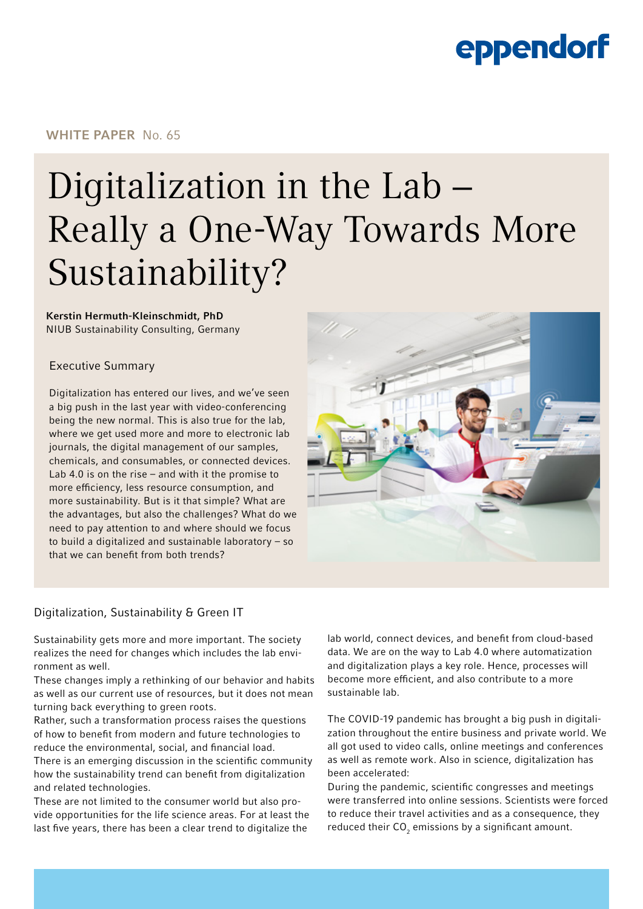### WHITE PAPER No. 65

# Digitalization in the Lab − Really a One-Way Towards More Sustainability?

## Kerstin Hermuth-Kleinschmidt, PhD

NIUB Sustainability Consulting, Germany

### Executive Summary

Digitalization has entered our lives, and we've seen a big push in the last year with video-conferencing being the new normal. This is also true for the lab, where we get used more and more to electronic lab journals, the digital management of our samples, chemicals, and consumables, or connected devices. Lab 4.0 is on the rise – and with it the promise to more efficiency, less resource consumption, and more sustainability. But is it that simple? What are the advantages, but also the challenges? What do we need to pay attention to and where should we focus to build a digitalized and sustainable laboratory – so that we can benefit from both trends?



## Digitalization, Sustainability & Green IT

Sustainability gets more and more important. The society realizes the need for changes which includes the lab environment as well.

These changes imply a rethinking of our behavior and habits as well as our current use of resources, but it does not mean turning back everything to green roots.

Rather, such a transformation process raises the questions of how to benefit from modern and future technologies to reduce the environmental, social, and financial load.

There is an emerging discussion in the scientific community how the sustainability trend can benefit from digitalization and related technologies.

These are not limited to the consumer world but also provide opportunities for the life science areas. For at least the last five years, there has been a clear trend to digitalize the

lab world, connect devices, and benefit from cloud-based data. We are on the way to Lab 4.0 where automatization and digitalization plays a key role. Hence, processes will become more efficient, and also contribute to a more sustainable lab.

The COVID-19 pandemic has brought a big push in digitalization throughout the entire business and private world. We all got used to video calls, online meetings and conferences as well as remote work. Also in science, digitalization has been accelerated:

During the pandemic, scientific congresses and meetings were transferred into online sessions. Scientists were forced to reduce their travel activities and as a consequence, they reduced their  $\mathsf{CO}_2$  emissions by a significant amount.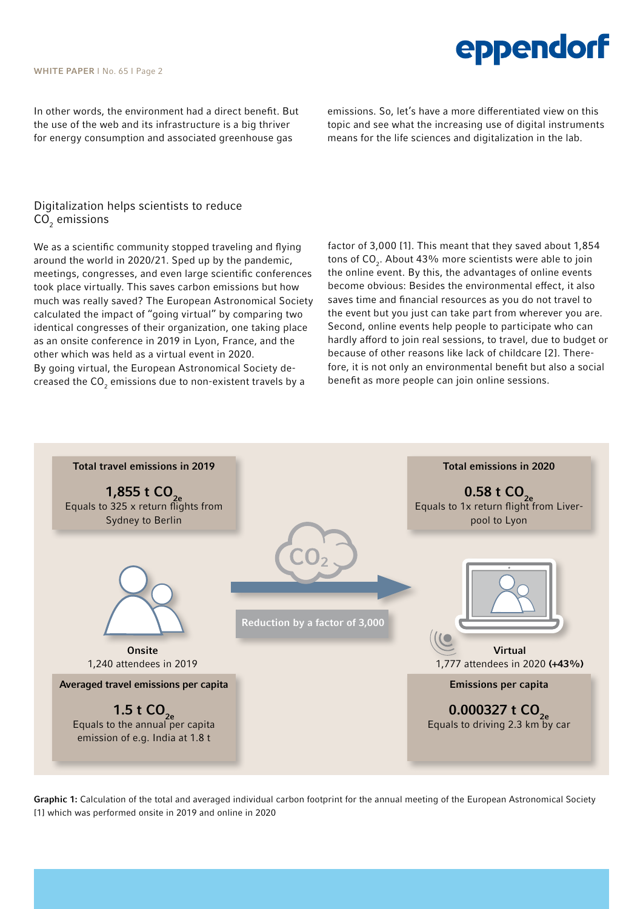#### WHITE PAPER | No. 65 | Page 2

In other words, the environment had a direct benefit. But the use of the web and its infrastructure is a big thriver for energy consumption and associated greenhouse gas

emissions. So, let's have a more differentiated view on this topic and see what the increasing use of digital instruments means for the life sciences and digitalization in the lab.

eppendorf

## Digitalization helps scientists to reduce CO $_{\textrm{\tiny{2}}}$  emissions

We as a scientific community stopped traveling and flying around the world in 2020/21. Sped up by the pandemic, meetings, congresses, and even large scientific conferences took place virtually. This saves carbon emissions but how much was really saved? The European Astronomical Society calculated the impact of "going virtual" by comparing two identical congresses of their organization, one taking place as an onsite conference in 2019 in Lyon, France, and the other which was held as a virtual event in 2020. By going virtual, the European Astronomical Society decreased the CO $_{_2}$  emissions due to non-existent travels by a

factor of 3,000 [1]. This meant that they saved about 1,854 tons of CO<sub>2</sub>. About 43% more scientists were able to join the online event. By this, the advantages of online events become obvious: Besides the environmental effect, it also saves time and financial resources as you do not travel to the event but you just can take part from wherever you are. Second, online events help people to participate who can hardly afford to join real sessions, to travel, due to budget or because of other reasons like lack of childcare [2]. Therefore, it is not only an environmental benefit but also a social benefit as more people can join online sessions.



Graphic 1: Calculation of the total and averaged individual carbon footprint for the annual meeting of the European Astronomical Society [1] which was performed onsite in 2019 and online in 2020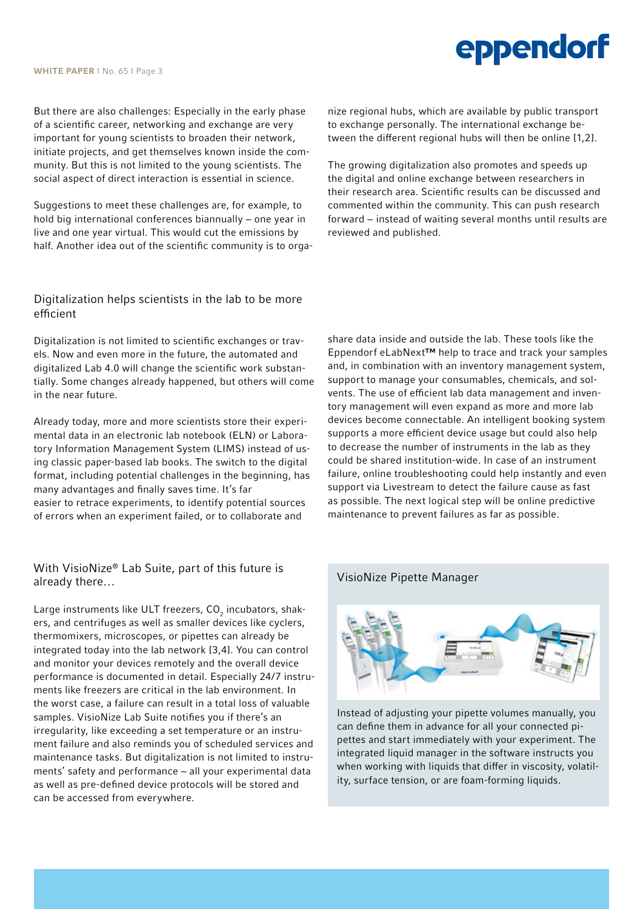But there are also challenges: Especially in the early phase of a scientific career, networking and exchange are very important for young scientists to broaden their network, initiate projects, and get themselves known inside the community. But this is not limited to the young scientists. The social aspect of direct interaction is essential in science.

Suggestions to meet these challenges are, for example, to hold big international conferences biannually – one year in live and one year virtual. This would cut the emissions by half. Another idea out of the scientific community is to orga-

#### Digitalization helps scientists in the lab to be more efficient

Digitalization is not limited to scientific exchanges or travels. Now and even more in the future, the automated and digitalized Lab 4.0 will change the scientific work substantially. Some changes already happened, but others will come in the near future.

Already today, more and more scientists store their experimental data in an electronic lab notebook (ELN) or Laboratory Information Management System (LIMS) instead of using classic paper-based lab books. The switch to the digital format, including potential challenges in the beginning, has many advantages and finally saves time. It's far easier to retrace experiments, to identify potential sources of errors when an experiment failed, or to collaborate and

## With VisioNize® Lab Suite, part of this future is already there…

Large instruments like ULT freezers, CO $_{_2}$  incubators, shakers, and centrifuges as well as smaller devices like cyclers, thermomixers, microscopes, or pipettes can already be integrated today into the lab network [3,4]. You can control and monitor your devices remotely and the overall device performance is documented in detail. Especially 24/7 instruments like freezers are critical in the lab environment. In the worst case, a failure can result in a total loss of valuable samples. VisioNize Lab Suite notifies you if there's an irregularity, like exceeding a set temperature or an instrument failure and also reminds you of scheduled services and maintenance tasks. But digitalization is not limited to instruments' safety and performance – all your experimental data as well as pre-defined device protocols will be stored and can be accessed from everywhere.

nize regional hubs, which are available by public transport to exchange personally. The international exchange between the different regional hubs will then be online [1,2].

The growing digitalization also promotes and speeds up the digital and online exchange between researchers in their research area. Scientific results can be discussed and commented within the community. This can push research forward − instead of waiting several months until results are reviewed and published.

share data inside and outside the lab. These tools like the Eppendorf eLabNext™ help to trace and track your samples and, in combination with an inventory management system, support to manage your consumables, chemicals, and solvents. The use of efficient lab data management and inventory management will even expand as more and more lab devices become connectable. An intelligent booking system supports a more efficient device usage but could also help to decrease the number of instruments in the lab as they could be shared institution-wide. In case of an instrument failure, online troubleshooting could help instantly and even support via Livestream to detect the failure cause as fast as possible. The next logical step will be online predictive maintenance to prevent failures as far as possible.

#### VisioNize Pipette Manager



Instead of adjusting your pipette volumes manually, you can define them in advance for all your connected pipettes and start immediately with your experiment. The integrated liquid manager in the software instructs you when working with liquids that differ in viscosity, volatility, surface tension, or are foam-forming liquids.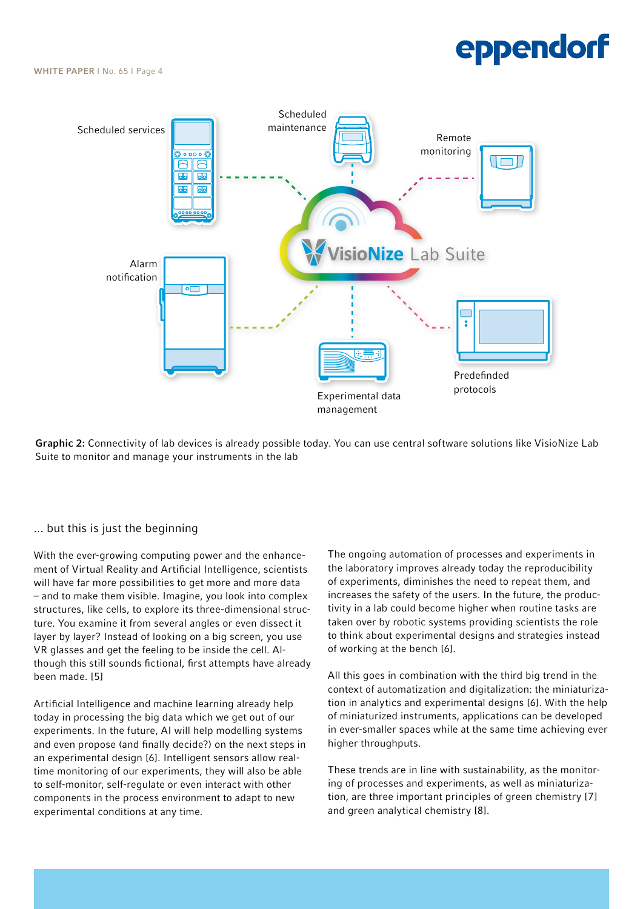WHITE PAPER | No. 65 | Page 4



Graphic 2: Connectivity of lab devices is already possible today. You can use central software solutions like VisioNize Lab Suite to monitor and manage your instruments in the lab

#### ... but this is just the beginning

With the ever-growing computing power and the enhancement of Virtual Reality and Artificial Intelligence, scientists will have far more possibilities to get more and more data – and to make them visible. Imagine, you look into complex structures, like cells, to explore its three-dimensional structure. You examine it from several angles or even dissect it layer by layer? Instead of looking on a big screen, you use VR glasses and get the feeling to be inside the cell. Although this still sounds fictional, first attempts have already been made. [5]

Artificial Intelligence and machine learning already help today in processing the big data which we get out of our experiments. In the future, AI will help modelling systems and even propose (and finally decide?) on the next steps in an experimental design [6]. Intelligent sensors allow realtime monitoring of our experiments, they will also be able to self-monitor, self-regulate or even interact with other components in the process environment to adapt to new experimental conditions at any time.

The ongoing automation of processes and experiments in the laboratory improves already today the reproducibility of experiments, diminishes the need to repeat them, and increases the safety of the users. In the future, the productivity in a lab could become higher when routine tasks are taken over by robotic systems providing scientists the role to think about experimental designs and strategies instead of working at the bench [6].

All this goes in combination with the third big trend in the context of automatization and digitalization: the miniaturization in analytics and experimental designs [6]. With the help of miniaturized instruments, applications can be developed in ever-smaller spaces while at the same time achieving ever higher throughputs.

These trends are in line with sustainability, as the monitoring of processes and experiments, as well as miniaturization, are three important principles of green chemistry [7] and green analytical chemistry [8].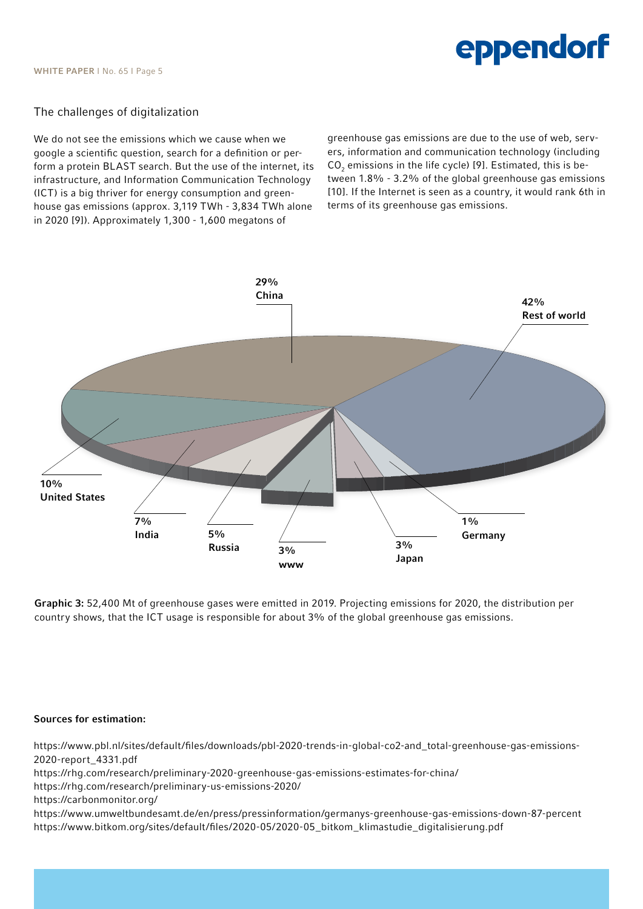#### The challenges of digitalization

We do not see the emissions which we cause when we google a scientific question, search for a definition or perform a protein BLAST search. But the use of the internet, its infrastructure, and Information Communication Technology (ICT) is a big thriver for energy consumption and greenhouse gas emissions (approx. 3,119 TWh - 3,834 TWh alone in 2020 [9]). Approximately 1,300 - 1,600 megatons of

greenhouse gas emissions are due to the use of web, servers, information and communication technology (including  $CO<sub>2</sub>$  emissions in the life cycle) [9]. Estimated, this is between 1.8% - 3.2% of the global greenhouse gas emissions [10]. If the Internet is seen as a country, it would rank 6th in terms of its greenhouse gas emissions.



Graphic 3: 52,400 Mt of greenhouse gases were emitted in 2019. Projecting emissions for 2020, the distribution per country shows, that the ICT usage is responsible for about 3% of the global greenhouse gas emissions.

#### Sources for estimation:

https://www.pbl.nl/sites/default/files/downloads/pbl-2020-trends-in-global-co2-and\_total-greenhouse-gas-emissions-2020-report\_4331.pdf https://rhg.com/research/preliminary-2020-greenhouse-gas-emissions-estimates-for-china/ https://rhg.com/research/preliminary-us-emissions-2020/ https://carbonmonitor.org/ https://www.umweltbundesamt.de/en/press/pressinformation/germanys-greenhouse-gas-emissions-down-87-percent https://www.bitkom.org/sites/default/files/2020-05/2020-05\_bitkom\_klimastudie\_digitalisierung.pdf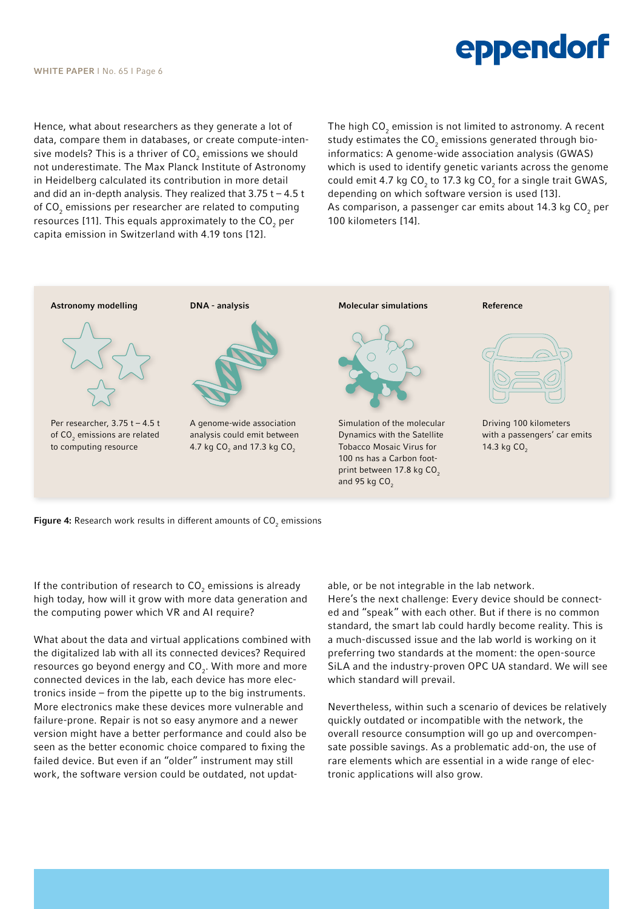Hence, what about researchers as they generate a lot of data, compare them in databases, or create compute-intensive models? This is a thriver of CO $_{\rm 2}$  emissions we should not underestimate. The Max Planck Institute of Astronomy in Heidelberg calculated its contribution in more detail and did an in-depth analysis. They realized that  $3.75$  t –  $4.5$  t of CO $_2$  emissions per researcher are related to computing resources [11]. This equals approximately to the CO $_{_2}$  per capita emission in Switzerland with 4.19 tons [12].

The high CO $_{_2}$  emission is not limited to astronomy. A recent study estimates the CO $_{\rm 2}$  emissions generated through bioinformatics: A genome-wide association analysis (GWAS) which is used to identify genetic variants across the genome could emit 4.7 kg CO<sub>2</sub> to 17.3 kg CO<sub>2</sub> for a single trait GWAS, depending on which software version is used [13]. As comparison, a passenger car emits about 14.3 kg CO $_{\rm 2}$  per 100 kilometers [14].



**Figure 4:** Research work results in different amounts of CO $_2$  emissions

If the contribution of research to  $\mathsf{CO}_2$  emissions is already high today, how will it grow with more data generation and the computing power which VR and AI require?

What about the data and virtual applications combined with the digitalized lab with all its connected devices? Required resources go beyond energy and CO<sub>2</sub>. With more and more connected devices in the lab, each device has more electronics inside – from the pipette up to the big instruments. More electronics make these devices more vulnerable and failure-prone. Repair is not so easy anymore and a newer version might have a better performance and could also be seen as the better economic choice compared to fixing the failed device. But even if an "older" instrument may still work, the software version could be outdated, not updatable, or be not integrable in the lab network. Here's the next challenge: Every device should be connected and "speak" with each other. But if there is no common standard, the smart lab could hardly become reality. This is a much-discussed issue and the lab world is working on it preferring two standards at the moment: the open-source SiLA and the industry-proven OPC UA standard. We will see which standard will prevail.

Nevertheless, within such a scenario of devices be relatively quickly outdated or incompatible with the network, the overall resource consumption will go up and overcompensate possible savings. As a problematic add-on, the use of rare elements which are essential in a wide range of electronic applications will also grow.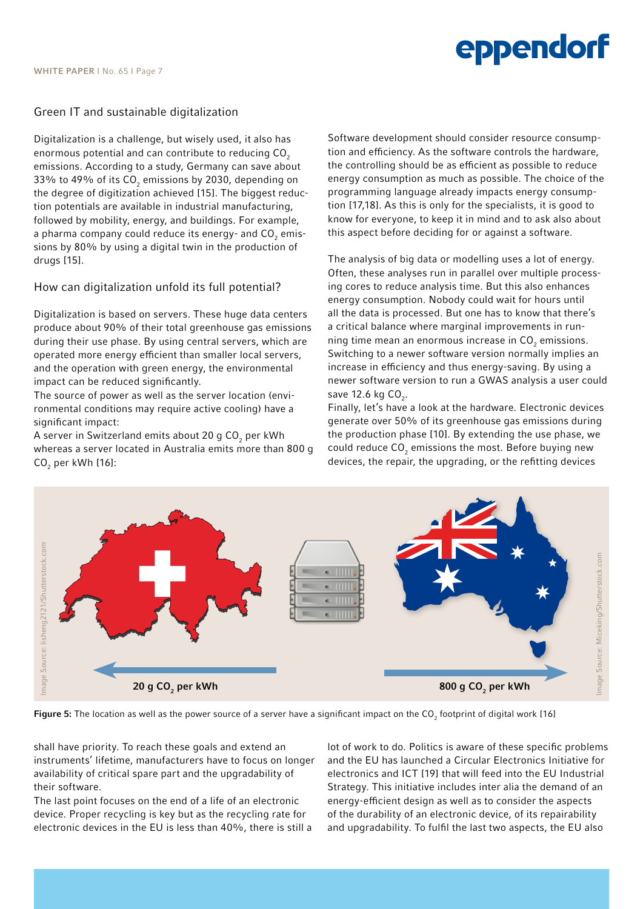### Green IT and sustainable digitalization

Digitalization is a challenge, but wisely used, it also has enormous potential and can contribute to reducing CO<sub>2</sub> emissions. According to a study, Germany can save about 33% to 49% of its CO $_{\textrm{\tiny{2}}}$  emissions by 2030, depending on the degree of digitization achieved [15]. The biggest reduction potentials are available in industrial manufacturing, followed by mobility, energy, and buildings. For example, a pharma company could reduce its energy- and CO $_{\textrm{\tiny{2}}}$  emissions by 80% by using a digital twin in the production of drugs [15].

### How can digitalization unfold its full potential?

Digitalization is based on servers. These huge data centers produce about 90% of their total greenhouse gas emissions during their use phase. By using central servers, which are operated more energy efficient than smaller local servers, and the operation with green energy, the environmental impact can be reduced significantly.

The source of power as well as the server location (environmental conditions may require active cooling) have a significant impact:

A server in Switzerland emits about 20 g CO $_{_2}$  per kWh whereas a server located in Australia emits more than 800 g CO<sub>2</sub> per kWh [16]:

Software development should consider resource consumption and efficiency. As the software controls the hardware, the controlling should be as efficient as possible to reduce energy consumption as much as possible. The choice of the programming language already impacts energy consumption [17,18]. As this is only for the specialists, it is good to know for everyone, to keep it in mind and to ask also about this aspect before deciding for or against a software.

The analysis of big data or modelling uses a lot of energy. Often, these analyses run in parallel over multiple processing cores to reduce analysis time. But this also enhances energy consumption. Nobody could wait for hours until all the data is processed. But one has to know that there's a critical balance where marginal improvements in running time mean an enormous increase in  $\mathsf{CO}_2$  emissions. Switching to a newer software version normally implies an increase in efficiency and thus energy-saving. By using a newer software version to run a GWAS analysis a user could save  $12.6$  kg  $CO<sub>2</sub>$ .

Finally, let's have a look at the hardware. Electronic devices generate over 50% of its greenhouse gas emissions during the production phase [10]. By extending the use phase, we could reduce  $\mathsf{CO}_2$  emissions the most. Before buying new devices, the repair, the upgrading, or the refitting devices



**Figure 5:** The location as well as the power source of a server have a significant impact on the CO<sub>2</sub> footprint of digital work [16]

shall have priority. To reach these goals and extend an instruments' lifetime, manufacturers have to focus on longer availability of critical spare part and the upgradability of their software.

The last point focuses on the end of a life of an electronic device. Proper recycling is key but as the recycling rate for electronic devices in the EU is less than 40%, there is still a lot of work to do. Politics is aware of these specific problems and the EU has launched a Circular Electronics Initiative for electronics and ICT [19] that will feed into the EU Industrial Strategy. This initiative includes inter alia the demand of an energy-efficient design as well as to consider the aspects of the durability of an electronic device, of its repairability and upgradability. To fulfil the last two aspects, the EU also